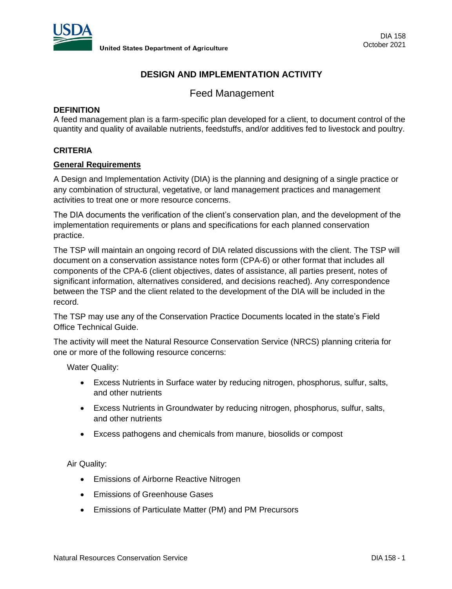

# **DESIGN AND IMPLEMENTATION ACTIVITY**

Feed Management

### **DEFINITION**

A feed management plan is a farm-specific plan developed for a client, to document control of the quantity and quality of available nutrients, feedstuffs, and/or additives fed to livestock and poultry.

# **CRITERIA**

#### **General Requirements**

A Design and Implementation Activity (DIA) is the planning and designing of a single practice or any combination of structural, vegetative, or land management practices and management activities to treat one or more resource concerns.

The DIA documents the verification of the client's conservation plan, and the development of the implementation requirements or plans and specifications for each planned conservation practice.

The TSP will maintain an ongoing record of DIA related discussions with the client. The TSP will document on a conservation assistance notes form (CPA-6) or other format that includes all components of the CPA-6 (client objectives, dates of assistance, all parties present, notes of significant information, alternatives considered, and decisions reached). Any correspondence between the TSP and the client related to the development of the DIA will be included in the record.

The TSP may use any of the Conservation Practice Documents located in the state's Field Office Technical Guide.

The activity will meet the Natural Resource Conservation Service (NRCS) planning criteria for one or more of the following resource concerns:

Water Quality:

- Excess Nutrients in Surface water by reducing nitrogen, phosphorus, sulfur, salts, and other nutrients
- Excess Nutrients in Groundwater by reducing nitrogen, phosphorus, sulfur, salts, and other nutrients
- Excess pathogens and chemicals from manure, biosolids or compost

Air Quality:

- Emissions of Airborne Reactive Nitrogen
- Emissions of Greenhouse Gases
- Emissions of Particulate Matter (PM) and PM Precursors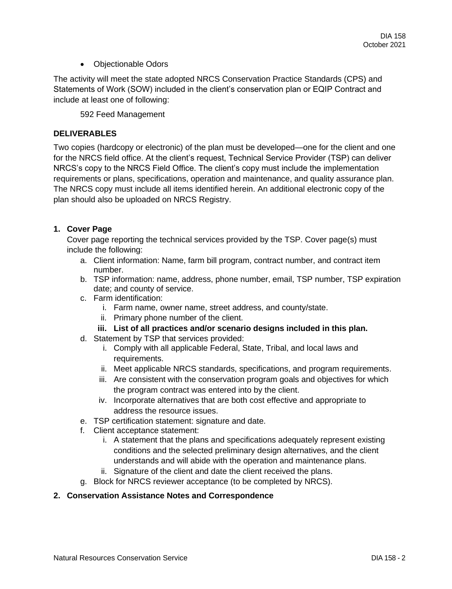• Objectionable Odors

The activity will meet the state adopted NRCS Conservation Practice Standards (CPS) and Statements of Work (SOW) included in the client's conservation plan or EQIP Contract and include at least one of following:

592 Feed Management

# **DELIVERABLES**

Two copies (hardcopy or electronic) of the plan must be developed—one for the client and one for the NRCS field office. At the client's request, Technical Service Provider (TSP) can deliver NRCS's copy to the NRCS Field Office. The client's copy must include the implementation requirements or plans, specifications, operation and maintenance, and quality assurance plan. The NRCS copy must include all items identified herein. An additional electronic copy of the plan should also be uploaded on NRCS Registry.

# **1. Cover Page**

Cover page reporting the technical services provided by the TSP. Cover page(s) must include the following:

- a. Client information: Name, farm bill program, contract number, and contract item number.
- b. TSP information: name, address, phone number, email, TSP number, TSP expiration date; and county of service.
- c. Farm identification:
	- i. Farm name, owner name, street address, and county/state.
	- ii. Primary phone number of the client.
	- **iii. List of all practices and/or scenario designs included in this plan.**
- d. Statement by TSP that services provided:
	- i. Comply with all applicable Federal, State, Tribal, and local laws and requirements.
	- ii. Meet applicable NRCS standards, specifications, and program requirements.
	- iii. Are consistent with the conservation program goals and objectives for which the program contract was entered into by the client.
	- iv. Incorporate alternatives that are both cost effective and appropriate to address the resource issues.
- e. TSP certification statement: signature and date.
- f. Client acceptance statement:
	- i. A statement that the plans and specifications adequately represent existing conditions and the selected preliminary design alternatives, and the client understands and will abide with the operation and maintenance plans.
	- ii. Signature of the client and date the client received the plans.
- g. Block for NRCS reviewer acceptance (to be completed by NRCS).

#### **2. Conservation Assistance Notes and Correspondence**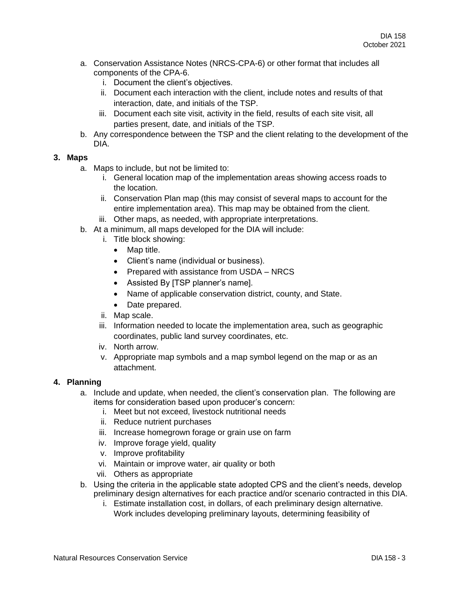- a. Conservation Assistance Notes (NRCS-CPA-6) or other format that includes all components of the CPA-6.
	- i. Document the client's objectives.
	- ii. Document each interaction with the client, include notes and results of that interaction, date, and initials of the TSP.
	- iii. Document each site visit, activity in the field, results of each site visit, all parties present, date, and initials of the TSP.
- b. Any correspondence between the TSP and the client relating to the development of the DIA.

### **3. Maps**

- a. Maps to include, but not be limited to:
	- i. General location map of the implementation areas showing access roads to the location.
	- ii. Conservation Plan map (this may consist of several maps to account for the entire implementation area). This map may be obtained from the client.
	- iii. Other maps, as needed, with appropriate interpretations.
- b. At a minimum, all maps developed for the DIA will include:
	- i. Title block showing:
		- Map title.
		- Client's name (individual or business).
		- Prepared with assistance from USDA NRCS
		- Assisted By [TSP planner's name].
		- Name of applicable conservation district, county, and State.
		- Date prepared.
	- ii. Map scale.
	- iii. Information needed to locate the implementation area, such as geographic coordinates, public land survey coordinates, etc.
	- iv. North arrow.
	- v. Appropriate map symbols and a map symbol legend on the map or as an attachment.

### **4. Planning**

- a. Include and update, when needed, the client's conservation plan. The following are items for consideration based upon producer's concern:
	- i. Meet but not exceed, livestock nutritional needs
	- ii. Reduce nutrient purchases
	- iii. Increase homegrown forage or grain use on farm
	- iv. Improve forage yield, quality
	- v. Improve profitability
	- vi. Maintain or improve water, air quality or both
	- vii. Others as appropriate
- b. Using the criteria in the applicable state adopted CPS and the client's needs, develop preliminary design alternatives for each practice and/or scenario contracted in this DIA.
	- i. Estimate installation cost, in dollars, of each preliminary design alternative. Work includes developing preliminary layouts, determining feasibility of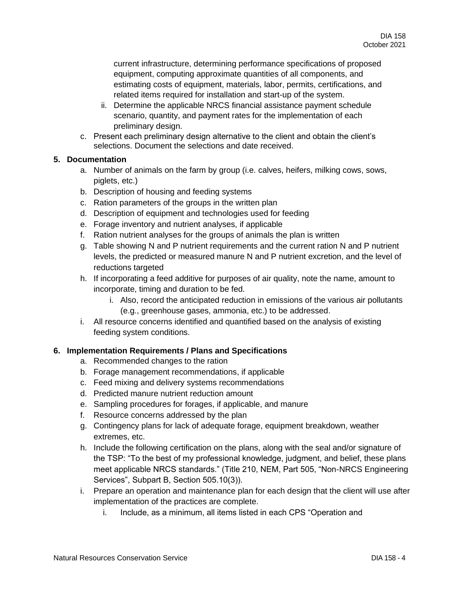current infrastructure, determining performance specifications of proposed equipment, computing approximate quantities of all components, and estimating costs of equipment, materials, labor, permits, certifications, and related items required for installation and start-up of the system.

- ii. Determine the applicable NRCS financial assistance payment schedule scenario, quantity, and payment rates for the implementation of each preliminary design.
- c. Present each preliminary design alternative to the client and obtain the client's selections. Document the selections and date received.

# **5. Documentation**

- a. Number of animals on the farm by group (i.e. calves, heifers, milking cows, sows, piglets, etc.)
- b. Description of housing and feeding systems
- c. Ration parameters of the groups in the written plan
- d. Description of equipment and technologies used for feeding
- e. Forage inventory and nutrient analyses, if applicable
- f. Ration nutrient analyses for the groups of animals the plan is written
- g. Table showing N and P nutrient requirements and the current ration N and P nutrient levels, the predicted or measured manure N and P nutrient excretion, and the level of reductions targeted
- h. If incorporating a feed additive for purposes of air quality, note the name, amount to incorporate, timing and duration to be fed.
	- i. Also, record the anticipated reduction in emissions of the various air pollutants (e.g., greenhouse gases, ammonia, etc.) to be addressed.
- i. All resource concerns identified and quantified based on the analysis of existing feeding system conditions.

# **6. Implementation Requirements / Plans and Specifications**

- a. Recommended changes to the ration
- b. Forage management recommendations, if applicable
- c. Feed mixing and delivery systems recommendations
- d. Predicted manure nutrient reduction amount
- e. Sampling procedures for forages, if applicable, and manure
- f. Resource concerns addressed by the plan
- g. Contingency plans for lack of adequate forage, equipment breakdown, weather extremes, etc.
- h. Include the following certification on the plans, along with the seal and/or signature of the TSP: "To the best of my professional knowledge, judgment, and belief, these plans meet applicable NRCS standards." (Title 210, NEM, Part 505, "Non-NRCS Engineering Services", Subpart B, Section 505.10(3)).
- i. Prepare an operation and maintenance plan for each design that the client will use after implementation of the practices are complete.
	- i. Include, as a minimum, all items listed in each CPS "Operation and